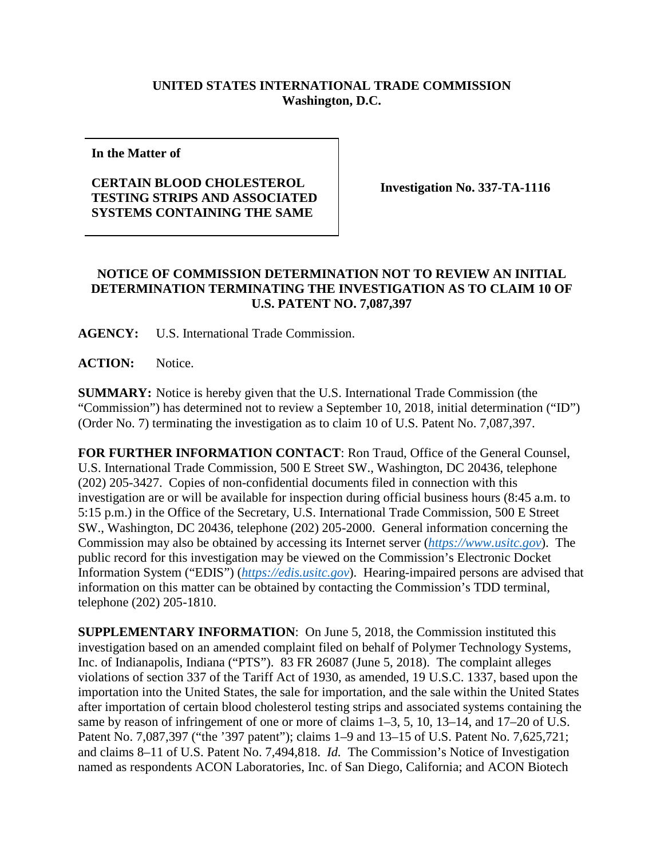## **UNITED STATES INTERNATIONAL TRADE COMMISSION Washington, D.C.**

**In the Matter of**

## **CERTAIN BLOOD CHOLESTEROL TESTING STRIPS AND ASSOCIATED SYSTEMS CONTAINING THE SAME**

**Investigation No. 337-TA-1116**

## **NOTICE OF COMMISSION DETERMINATION NOT TO REVIEW AN INITIAL DETERMINATION TERMINATING THE INVESTIGATION AS TO CLAIM 10 OF U.S. PATENT NO. 7,087,397**

**AGENCY:** U.S. International Trade Commission.

**ACTION:** Notice.

**SUMMARY:** Notice is hereby given that the U.S. International Trade Commission (the "Commission") has determined not to review a September 10, 2018, initial determination ("ID") (Order No. 7) terminating the investigation as to claim 10 of U.S. Patent No. 7,087,397.

**FOR FURTHER INFORMATION CONTACT**: Ron Traud, Office of the General Counsel, U.S. International Trade Commission, 500 E Street SW., Washington, DC 20436, telephone (202) 205-3427. Copies of non-confidential documents filed in connection with this investigation are or will be available for inspection during official business hours (8:45 a.m. to 5:15 p.m.) in the Office of the Secretary, U.S. International Trade Commission, 500 E Street SW., Washington, DC 20436, telephone (202) 205-2000. General information concerning the Commission may also be obtained by accessing its Internet server (*[https://www.usitc.gov](https://www.usitc.gov/)*). The public record for this investigation may be viewed on the Commission's Electronic Docket Information System ("EDIS") (*[https://edis.usitc.gov](https://edis.usitc.gov/)*). Hearing-impaired persons are advised that information on this matter can be obtained by contacting the Commission's TDD terminal, telephone (202) 205-1810.

**SUPPLEMENTARY INFORMATION**: On June 5, 2018, the Commission instituted this investigation based on an amended complaint filed on behalf of Polymer Technology Systems, Inc. of Indianapolis, Indiana ("PTS"). 83 FR 26087 (June 5, 2018). The complaint alleges violations of section 337 of the Tariff Act of 1930, as amended, 19 U.S.C. 1337, based upon the importation into the United States, the sale for importation, and the sale within the United States after importation of certain blood cholesterol testing strips and associated systems containing the same by reason of infringement of one or more of claims 1–3, 5, 10, 13–14, and 17–20 of U.S. Patent No. 7,087,397 ("the '397 patent"); claims 1–9 and 13–15 of U.S. Patent No. 7,625,721; and claims 8–11 of U.S. Patent No. 7,494,818. *Id.* The Commission's Notice of Investigation named as respondents ACON Laboratories, Inc. of San Diego, California; and ACON Biotech